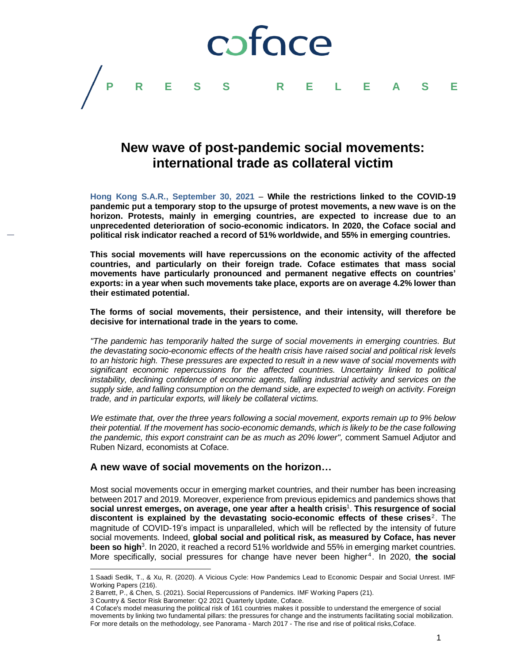

# **New wave of post-pandemic social movements: international trade as collateral victim**

**Hong Kong S.A.R., September 30, 2021** – **While the restrictions linked to the COVID-19 pandemic put a temporary stop to the upsurge of protest movements, a new wave is on the horizon. Protests, mainly in emerging countries, are expected to increase due to an unprecedented deterioration of socio-economic indicators. In 2020, the Coface social and political risk indicator reached a record of 51% worldwide, and 55% in emerging countries.**

**This social movements will have repercussions on the economic activity of the affected countries, and particularly on their foreign trade. Coface estimates that mass social movements have particularly pronounced and permanent negative effects on countries' exports: in a year when such movements take place, exports are on average 4.2% lower than their estimated potential.**

**The forms of social movements, their persistence, and their intensity, will therefore be decisive for international trade in the years to come.**

*"The pandemic has temporarily halted the surge of social movements in emerging countries. But the devastating socio-economic effects of the health crisis have raised social and political risk levels to an historic high. These pressures are expected to result in a new wave of social movements with significant economic repercussions for the affected countries. Uncertainty linked to political instability, declining confidence of economic agents, falling industrial activity and services on the supply side, and falling consumption on the demand side, are expected to weigh on activity. Foreign trade, and in particular exports, will likely be collateral victims.* 

*We estimate that, over the three years following a social movement, exports remain up to 9% below their potential. If the movement has socio-economic demands, which is likely to be the case following the pandemic, this export constraint can be as much as 20% lower",* comment Samuel Adjutor and Ruben Nizard, economists at Coface.

### **A new wave of social movements on the horizon…**

Most social movements occur in emerging market countries, and their number has been increasing between 2017 and 2019. Moreover, experience from previous epidemics and pandemics shows that **social unrest emerges, on average, one year after a health crisis** 1 . **This resurgence of social**  discontent is explained by the devastating socio-economic effects of these crises<sup>2</sup>. The magnitude of COVID-19's impact is unparalleled, which will be reflected by the intensity of future social movements. Indeed, **global social and political risk, as measured by Coface, has never been so high**<sup>3</sup> . In 2020, it reached a record 51% worldwide and 55% in emerging market countries. More specifically, social pressures for change have never been higher<sup>4</sup>. In 2020, the social

 $\overline{a}$ 

<sup>1</sup> Saadi Sedik, T., & Xu, R. (2020). A Vicious Cycle: How Pandemics Lead to Economic Despair and Social Unrest. IMF Working Papers (216).

<sup>2</sup> Barrett, P., & Chen, S. (2021). Social Repercussions of Pandemics. IMF Working Papers (21).

<sup>3</sup> Country & Sector Risk Barometer: Q2 2021 Quarterly Update, Coface.

<sup>4</sup> Coface's model measuring the political risk of 161 countries makes it possible to understand the emergence of social movements by linking two fundamental pillars: the pressures for change and the instruments facilitating social mobilization. For more details on the methodology, see Panorama - March 2017 - The rise and rise of political risks,Coface.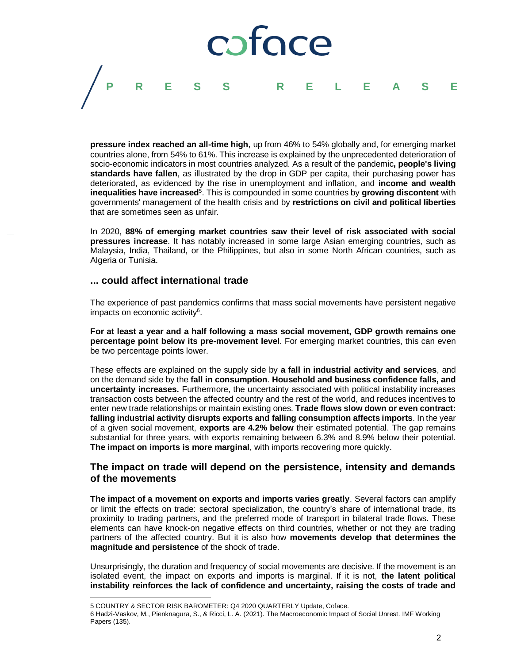

**pressure index reached an all-time high**, up from 46% to 54% globally and, for emerging market countries alone, from 54% to 61%. This increase is explained by the unprecedented deterioration of socio-economic indicators in most countries analyzed. As a result of the pandemic**, people's living standards have fallen**, as illustrated by the drop in GDP per capita, their purchasing power has deteriorated, as evidenced by the rise in unemployment and inflation, and **income and wealth**  inequalities have increased<sup>5</sup>. This is compounded in some countries by growing discontent with governments' management of the health crisis and by **restrictions on civil and political liberties** that are sometimes seen as unfair.

In 2020, **88% of emerging market countries saw their level of risk associated with social pressures increase**. It has notably increased in some large Asian emerging countries, such as Malaysia, India, Thailand, or the Philippines, but also in some North African countries, such as Algeria or Tunisia.

#### **... could affect international trade**

The experience of past pandemics confirms that mass social movements have persistent negative impacts on economic activity<sup>6</sup>.

**For at least a year and a half following a mass social movement, GDP growth remains one percentage point below its pre-movement level**. For emerging market countries, this can even be two percentage points lower.

These effects are explained on the supply side by **a fall in industrial activity and services**, and on the demand side by the **fall in consumption**. **Household and business confidence falls, and uncertainty increases.** Furthermore, the uncertainty associated with political instability increases transaction costs between the affected country and the rest of the world, and reduces incentives to enter new trade relationships or maintain existing ones. **Trade flows slow down or even contract: falling industrial activity disrupts exports and falling consumption affects imports**. In the year of a given social movement, **exports are 4.2% below** their estimated potential. The gap remains substantial for three years, with exports remaining between 6.3% and 8.9% below their potential. **The impact on imports is more marginal**, with imports recovering more quickly.

## **The impact on trade will depend on the persistence, intensity and demands of the movements**

**The impact of a movement on exports and imports varies greatly**. Several factors can amplify or limit the effects on trade: sectoral specialization, the country's share of international trade, its proximity to trading partners, and the preferred mode of transport in bilateral trade flows. These elements can have knock-on negative effects on third countries, whether or not they are trading partners of the affected country. But it is also how **movements develop that determines the magnitude and persistence** of the shock of trade.

Unsurprisingly, the duration and frequency of social movements are decisive. If the movement is an isolated event, the impact on exports and imports is marginal. If it is not, **the latent political instability reinforces the lack of confidence and uncertainty, raising the costs of trade and** 

l

<sup>5</sup> COUNTRY & SECTOR RISK BAROMETER: Q4 2020 QUARTERLY Update, Coface.

<sup>6</sup> Hadzi-Vaskov, M., Pienknagura, S., & Ricci, L. A. (2021). The Macroeconomic Impact of Social Unrest. IMF Working Papers (135).